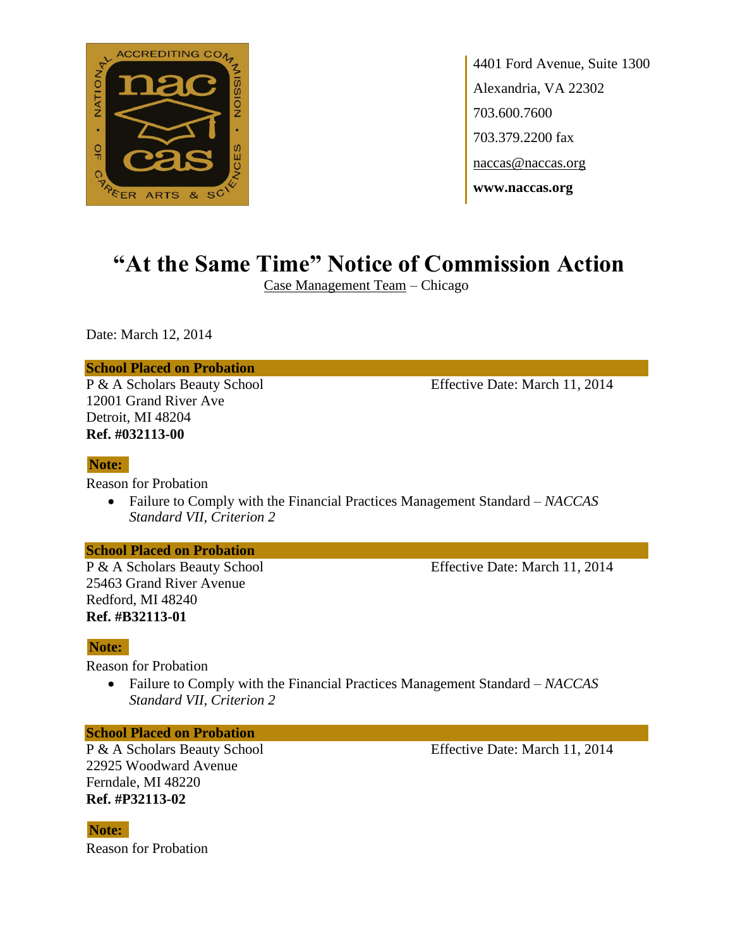

4401 Ford Avenue, Suite 1300 Alexandria, VA 22302 703.600.7600 703.379.2200 fax naccas@naccas.org **www.naccas.org**

# **"At the Same Time" Notice of Commission Action**

Case Management Team – Chicago

Date: March 12, 2014

#### **School Placed on Probation**

12001 Grand River Ave Detroit, MI 48204 **Ref. #032113-00**

## P & A Scholars Beauty School Effective Date: March 11, 2014

#### **Note:**

Reason for Probation

 Failure to Comply with the Financial Practices Management Standard – *NACCAS Standard VII, Criterion 2*

#### **School Placed on Probation**

25463 Grand River Avenue Redford, MI 48240 **Ref. #B32113-01**

### P & A Scholars Beauty School Effective Date: March 11, 2014

#### **Note:**

Reason for Probation

 Failure to Comply with the Financial Practices Management Standard – *NACCAS Standard VII, Criterion 2*

#### **School Placed on Probation**

22925 Woodward Avenue Ferndale, MI 48220 **Ref. #P32113-02**

P & A Scholars Beauty School Effective Date: March 11, 2014

Reason for Probation **Note:**